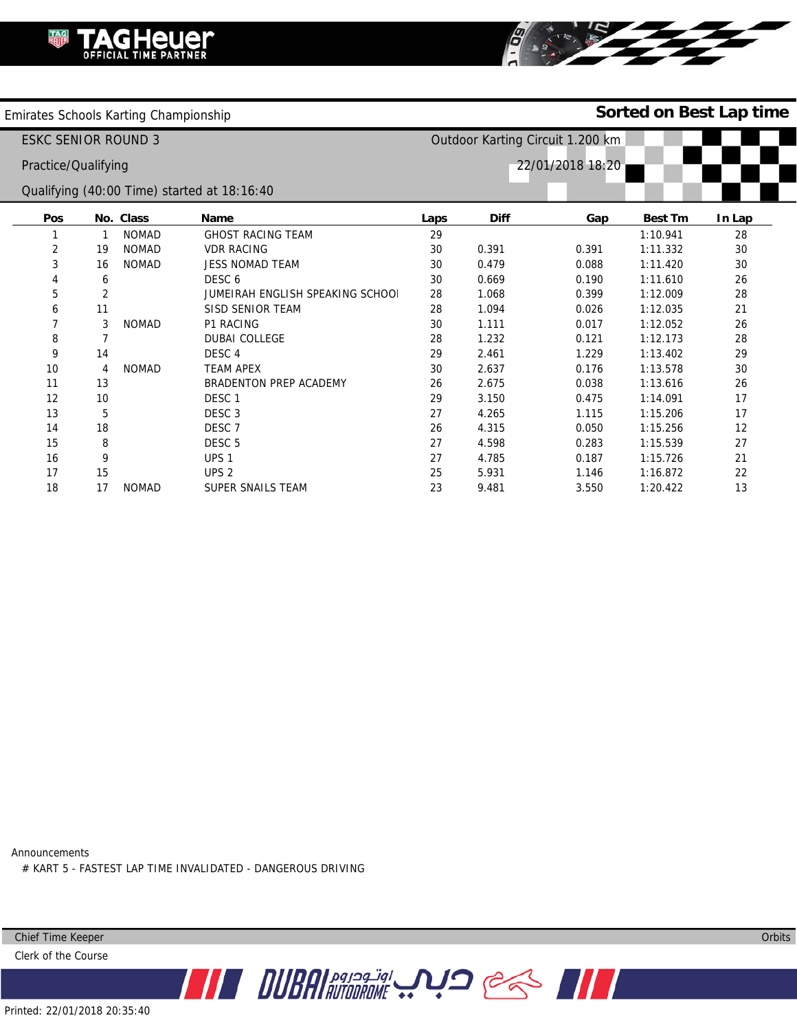

Emirates Schools Karting Championship

## **Sorted on Best Lap time**

|                                             | ESKC SENIOR ROUND 3 |                   | Outdoor Karting Circuit 1.200 km |             |     |                |        |  |
|---------------------------------------------|---------------------|-------------------|----------------------------------|-------------|-----|----------------|--------|--|
| Practice/Qualifying                         |                     |                   | 22/01/2018 18:20                 |             |     |                |        |  |
| Qualifying (40:00 Time) started at 18:16:40 |                     |                   |                                  |             |     |                |        |  |
| <b>Pos</b>                                  | No. Class           | Name              | Laps                             | <b>Diff</b> | Gap | <b>Best Tm</b> | In Lap |  |
|                                             | NOMAD               | GHOST RACING TEAM | C                                |             |     | 1.10941        | າຂ     |  |

|    |    | <b>NOMAD</b> | <b>GHOST RACING TEAM</b>         | 29 |       |       | 1:10.941 | 28 |
|----|----|--------------|----------------------------------|----|-------|-------|----------|----|
| 2  | 19 | <b>NOMAD</b> | <b>VDR RACING</b>                | 30 | 0.391 | 0.391 | 1:11.332 | 30 |
| 3  | 16 | <b>NOMAD</b> | <b>JESS NOMAD TEAM</b>           | 30 | 0.479 | 0.088 | 1:11.420 | 30 |
| 4  | 6  |              | DESC 6                           | 30 | 0.669 | 0.190 | 1:11.610 | 26 |
| 5  |    |              | JUMEIRAH ENGLISH SPEAKING SCHOOL | 28 | 1.068 | 0.399 | 1:12.009 | 28 |
| 6  | 11 |              | SISD SENIOR TEAM                 | 28 | 1.094 | 0.026 | 1:12.035 | 21 |
| 7  | 3  | <b>NOMAD</b> | <b>P1 RACING</b>                 | 30 | 1.111 | 0.017 | 1:12.052 | 26 |
| 8  |    |              | <b>DUBAI COLLEGE</b>             | 28 | 1.232 | 0.121 | 1:12.173 | 28 |
| 9  | 14 |              | DESC <sub>4</sub>                | 29 | 2.461 | 1.229 | 1:13.402 | 29 |
| 10 | 4  | <b>NOMAD</b> | <b>TEAM APEX</b>                 | 30 | 2.637 | 0.176 | 1:13.578 | 30 |
| 11 | 13 |              | BRADENTON PREP ACADEMY           | 26 | 2.675 | 0.038 | 1:13.616 | 26 |
| 12 | 10 |              | DESC <sub>1</sub>                | 29 | 3.150 | 0.475 | 1:14.091 | 17 |
| 13 | 5  |              | DESC <sub>3</sub>                | 27 | 4.265 | 1.115 | 1:15.206 | 17 |
| 14 | 18 |              | DESC <sub>7</sub>                | 26 | 4.315 | 0.050 | 1:15.256 | 12 |
| 15 | 8  |              | DESC <sub>5</sub>                | 27 | 4.598 | 0.283 | 1:15.539 | 27 |
| 16 | 9  |              | UPS <sub>1</sub>                 | 27 | 4.785 | 0.187 | 1:15.726 | 21 |
| 17 | 15 |              | UPS <sub>2</sub>                 | 25 | 5.931 | 1.146 | 1:16.872 | 22 |
| 18 | 17 | <b>NOMAD</b> | SUPER SNAILS TEAM                | 23 | 9.481 | 3.550 | 1:20.422 | 13 |

**THE DUBAL ROUGH ROWLER STATE** 

Announcements # KART 5 - FASTEST LAP TIME INVALIDATED - DANGEROUS DRIVING

Chief Time Keeper

Clerk of the Course